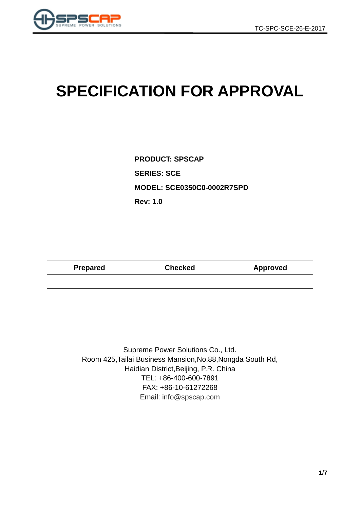

# **SPECIFICATION FOR APPROVAL**

**PRODUCT: SPSCAP SERIES: SCE MODEL: SCE0350C0-0002R7SPD Rev: 1.0**

| <b>Prepared</b> | <b>Checked</b> | Approved |  |  |
|-----------------|----------------|----------|--|--|
|                 |                |          |  |  |

Supreme Power Solutions Co., Ltd. Room 425,Tailai Business Mansion,No.88,Nongda South Rd, Haidian District,Beijing, P.R. China TEL: +86-400-600-7891 FAX: +86-10-61272268 Email: [info@spscap.com](mailto:info@spscap.com)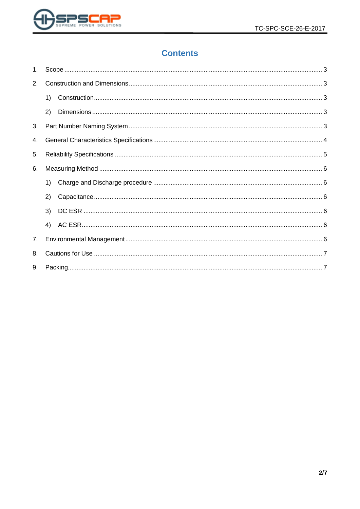

## **Contents**

| 1 <sup>1</sup> |    |  |
|----------------|----|--|
| 2.             |    |  |
|                | 1) |  |
|                | 2) |  |
| 3.             |    |  |
| 4.             |    |  |
| 5.             |    |  |
| 6.             |    |  |
|                | 1) |  |
|                | 2) |  |
|                | 3) |  |
|                | 4) |  |
| 7.             |    |  |
| 8.             |    |  |
| 9.             |    |  |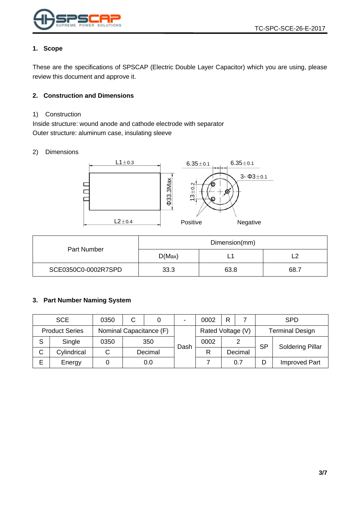

#### <span id="page-2-0"></span>**1. Scope**

These are the specifications of SPSCAP (Electric Double Layer Capacitor) which you are using, please review this document and approve it.

#### <span id="page-2-1"></span>**2. Construction and Dimensions**

#### <span id="page-2-2"></span>1) Construction

Inside structure: wound anode and cathode electrode with separator Outer structure: aluminum case, insulating sleeve

#### <span id="page-2-3"></span>2) Dimensions



| Part Number         | Dimension(mm) |      |      |  |
|---------------------|---------------|------|------|--|
|                     | D(Max)        |      |      |  |
| SCE0350C0-0002R7SPD | 33.3          | 63.8 | 68.7 |  |

#### <span id="page-2-4"></span>**3. Part Number Naming System**

|                                                  | <b>SCE</b>  | 0350              | C                   |                        | $\blacksquare$ | 0002      | R                       |         |  | <b>SPD</b>           |
|--------------------------------------------------|-------------|-------------------|---------------------|------------------------|----------------|-----------|-------------------------|---------|--|----------------------|
| Nominal Capacitance (F)<br><b>Product Series</b> |             | Rated Voltage (V) |                     | <b>Terminal Design</b> |                |           |                         |         |  |                      |
| S                                                | Single      | 0350              | 350<br>0002<br>Dash |                        |                | <b>SP</b> | <b>Soldering Pillar</b> |         |  |                      |
| С                                                | Cylindrical |                   |                     | Decimal                |                | R         |                         | Decimal |  |                      |
| Е                                                | Energy      |                   |                     | 0.0                    |                |           |                         | 0.7     |  | <b>Improved Part</b> |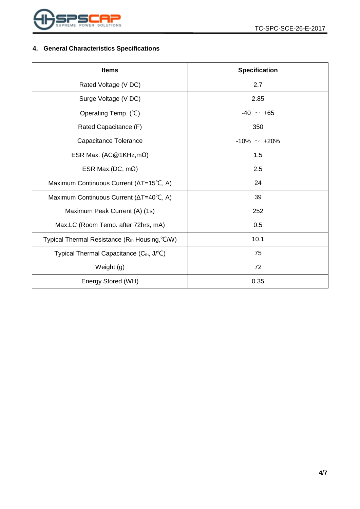

## <span id="page-3-0"></span>**4. General Characteristics Specifications**

| <b>Items</b>                                               | <b>Specification</b> |  |  |
|------------------------------------------------------------|----------------------|--|--|
| Rated Voltage (V DC)                                       | 2.7                  |  |  |
| Surge Voltage (V DC)                                       | 2.85                 |  |  |
| Operating Temp. (°C)                                       | $-40 \sim +65$       |  |  |
| Rated Capacitance (F)                                      | 350                  |  |  |
| Capacitance Tolerance                                      | $-10\% \sim +20\%$   |  |  |
| ESR Max. (AC@1KHz,m $\Omega$ )                             | 1.5                  |  |  |
| ESR Max.(DC, $m\Omega$ )                                   | 2.5                  |  |  |
| Maximum Continuous Current (∆T=15°C, A)                    | 24                   |  |  |
| Maximum Continuous Current (ΔT=40°C, A)                    | 39                   |  |  |
| Maximum Peak Current (A) (1s)                              | 252                  |  |  |
| Max.LC (Room Temp. after 72hrs, mA)                        | 0.5                  |  |  |
| Typical Thermal Resistance (R <sub>th</sub> Housing, °C/W) | 10.1                 |  |  |
| Typical Thermal Capacitance (C <sub>th</sub> , J/°C)       | 75                   |  |  |
| Weight (g)                                                 | 72                   |  |  |
| Energy Stored (WH)                                         | 0.35                 |  |  |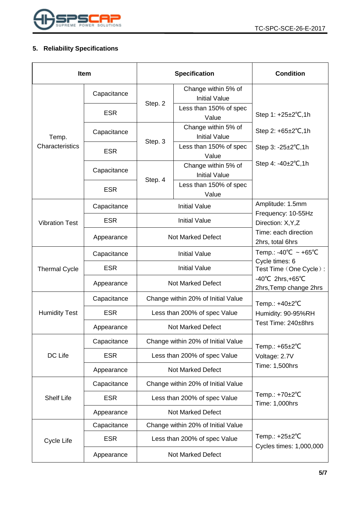

### <span id="page-4-0"></span>**5. Reliability Specifications**

| <b>Item</b>           |             | <b>Specification</b>               |                                             | <b>Condition</b>                                                 |  |
|-----------------------|-------------|------------------------------------|---------------------------------------------|------------------------------------------------------------------|--|
|                       | Capacitance |                                    | Change within 5% of<br><b>Initial Value</b> |                                                                  |  |
|                       | <b>ESR</b>  | Step. 2                            | Less than 150% of spec<br>Value             | Step 1: +25±2°C,1h                                               |  |
| Temp.                 | Capacitance | Step. 3                            | Change within 5% of<br><b>Initial Value</b> | Step 2: $+65\pm2\degree$ C, 1h                                   |  |
| Characteristics       | <b>ESR</b>  |                                    | Less than 150% of spec<br>Value             | Step $3: -25 \pm 2^{\circ}C, 1h$                                 |  |
|                       | Capacitance | Step. 4                            | Change within 5% of<br><b>Initial Value</b> | Step 4: $-40\pm2^{\circ}C$ , 1h                                  |  |
|                       | <b>ESR</b>  |                                    | Less than 150% of spec<br>Value             |                                                                  |  |
|                       | Capacitance |                                    | <b>Initial Value</b>                        | Amplitude: 1.5mm                                                 |  |
| <b>Vibration Test</b> | <b>ESR</b>  | <b>Initial Value</b>               |                                             | Frequency: 10-55Hz<br>Direction: X, Y, Z                         |  |
|                       | Appearance  | <b>Not Marked Defect</b>           |                                             | Time: each direction<br>2hrs, total 6hrs                         |  |
|                       | Capacitance | <b>Initial Value</b>               |                                             | Temp.: -40°C ~ +65°C<br>Cycle times: 6<br>Test Time (One Cycle): |  |
| <b>Thermal Cycle</b>  | <b>ESR</b>  | <b>Initial Value</b>               |                                             |                                                                  |  |
|                       | Appearance  |                                    | Not Marked Defect                           | $-40^{\circ}$ C 2hrs, +65 $^{\circ}$ C<br>2hrs, Temp change 2hrs |  |
|                       | Capacitance |                                    | Change within 20% of Initial Value          | Temp.: $+40\pm2^{\circ}C$                                        |  |
| <b>Humidity Test</b>  | <b>ESR</b>  | Less than 200% of spec Value       |                                             | Humidity: 90-95%RH                                               |  |
|                       | Appearance  | <b>Not Marked Defect</b>           |                                             | Test Time: 240±8hrs                                              |  |
|                       | Capacitance | Change within 20% of Initial Value |                                             | Temp.: +65±2°C                                                   |  |
| DC Life               | <b>ESR</b>  | Less than 200% of spec Value       |                                             | Voltage: 2.7V                                                    |  |
|                       | Appearance  | <b>Not Marked Defect</b>           |                                             | Time: 1,500hrs                                                   |  |
|                       | Capacitance | Change within 20% of Initial Value |                                             |                                                                  |  |
| <b>Shelf Life</b>     | <b>ESR</b>  | Less than 200% of spec Value       |                                             | Temp.: +70±2°C<br>Time: 1,000hrs                                 |  |
|                       | Appearance  | <b>Not Marked Defect</b>           |                                             |                                                                  |  |
|                       | Capacitance |                                    | Change within 20% of Initial Value          |                                                                  |  |
| Cycle Life            | <b>ESR</b>  |                                    | Less than 200% of spec Value                | Temp.: $+25\pm2$ °C                                              |  |
|                       | Appearance  | <b>Not Marked Defect</b>           |                                             | Cycles times: 1,000,000                                          |  |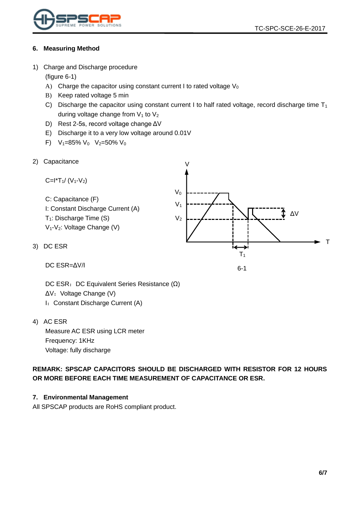

#### <span id="page-5-0"></span>**6. Measuring Method**

<span id="page-5-1"></span>1) Charge and Discharge procedure

(figure 6-1)

- A) Charge the capacitor using constant current I to rated voltage  $V_0$
- B) Keep rated voltage 5 min
- C) Discharge the capacitor using constant current I to half rated voltage, record discharge time  $T_1$ during voltage change from  $V_1$  to  $V_2$

V

- D) Rest 2-5s, record voltage change ΔV
- E) Discharge it to a very low voltage around 0.01V
- F)  $V_1=85\% V_0 V_2=50\% V_0$
- <span id="page-5-2"></span>2) Capacitance

C=I\*T1/ (V1-V2) C: Capacitance (F) I: Constant Discharge Current (A) T1: Discharge Time (S) V1-V2: Voltage Change (V) ΔV T1 V<sup>0</sup> V<sup>1</sup> V<sup>2</sup> T

6-1

DC ESR=ΔV/I

<span id="page-5-3"></span> $3)$ 

DC ESR: DC Equivalent Series Resistance (Ω) ΔV: Voltage Change (V) I: Constant Discharge Current (A)

<span id="page-5-4"></span>4) AC ESR

Measure AC ESR using LCR meter Frequency: 1KHz Voltage: fully discharge

**REMARK: SPSCAP CAPACITORS SHOULD BE DISCHARGED WITH RESISTOR FOR 12 HOURS OR MORE BEFORE EACH TIME MEASUREMENT OF CAPACITANCE OR ESR.**

#### <span id="page-5-5"></span>**7. Environmental Management**

All SPSCAP products are RoHS compliant product.